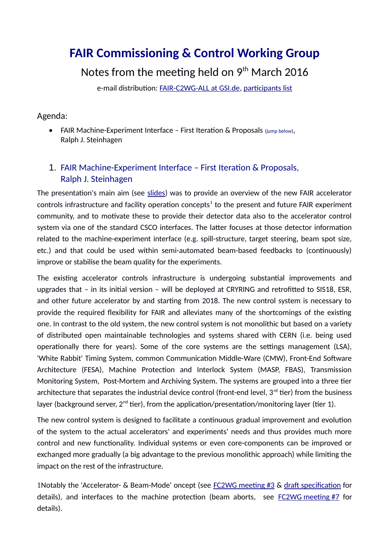# **FAIR Commissioning & Control Working Group**

Notes from the meeting held on  $9<sup>th</sup>$  March 2016

e-mail distribution: [FAIR-C2WG-ALL at GSI.de,](mailto:FAIR-C2WG-ALL%20(at)%20GSI%20(punkt)%20de) [participants list](https://fair-wiki.gsi.de/foswiki/pub/FC2WG/FairC2WGMinutes/20160309_FC2WG_AttendanceList.pdf)

#### Agenda:

• FAIR Machine-Experiment Interface – First Iteration & Proposals (jump [below\)](#page-0-0), Ralph J. Steinhagen

## <span id="page-0-0"></span>1. FAIR Machine-Experiment Interface – First Iteration & Proposals, Ralph J. Steinhagen

The presentation's main aim (see [slides\)](https://fair-wiki.gsi.de/foswiki/pub/FC2WG/FairC2WGMinutes/20160309_FAIR_C2WG_Machine_Experiment_Interface.pdf) was to provide an overview of the new FAIR accelerator controls infrastructure and facility operation concepts $^{\rm 1}$  $^{\rm 1}$  $^{\rm 1}$  to the present and future FAIR experiment community, and to motivate these to provide their detector data also to the accelerator control system via one of the standard CSCO interfaces. The latter focuses at those detector information related to the machine-experiment interface (e.g. spill-structure, target steering, beam spot size, etc.) and that could be used within semi-automated beam-based feedbacks to (continuously) improve or stabilise the beam quality for the experiments.

The existing accelerator controls infrastructure is undergoing substantial improvements and upgrades that – in its initial version – will be deployed at CRYRING and retrofitted to SIS18, ESR, and other future accelerator by and starting from 2018. The new control system is necessary to provide the required flexibility for FAIR and alleviates many of the shortcomings of the existing one. In contrast to the old system, the new control system is not monolithic but based on a variety of distributed open maintainable technologies and systems shared with CERN (i.e. being used operationally there for years). Some of the core systems are the settings management (LSA), 'White Rabbit' Timing System, common Communication Middle-Ware (CMW), Front-End Software Architecture (FESA), Machine Protection and Interlock System (MASP, FBAS), Transmission Monitoring System, Post-Mortem and Archiving System. The systems are grouped into a three tier architecture that separates the industrial device control (front-end level,  $3<sup>rd</sup>$  tier) from the business layer (background server,  $2^{nd}$  tier), from the application/presentation/monitoring layer (tier 1).

The new control system is designed to facilitate a continuous gradual improvement and evolution of the system to the actual accelerators' and experiments' needs and thus provides much more control and new functionality. Individual systems or even core-components can be improved or exchanged more gradually (a big advantage to the previous monolithic approach) while limiting the impact on the rest of the infrastructure.

<span id="page-0-1"></span>1Notably the 'Accelerator- & Beam-Mode' oncept (see [FC2WG meeting](https://fair-wiki.gsi.de/foswiki/pub/FC2WG/FairC2WGMinutes/20150617_FC2WG_Minutes.pdf) #3 & draft [specification](https://fair-wiki.gsi.de/foswiki/pub/FC2WG/FairC2WGMinutes/20151118_F-TC-C-07e_Accelerator_and_Beam_Modes_v0.2.pdf) for details), and interfaces to the machine protection (beam aborts, see [FC2WG meeting](https://fair-wiki.gsi.de/foswiki/pub/FC2WG/FairC2WGMinutes/20151021_FC2WG_Minutes.pdf) #7 for details).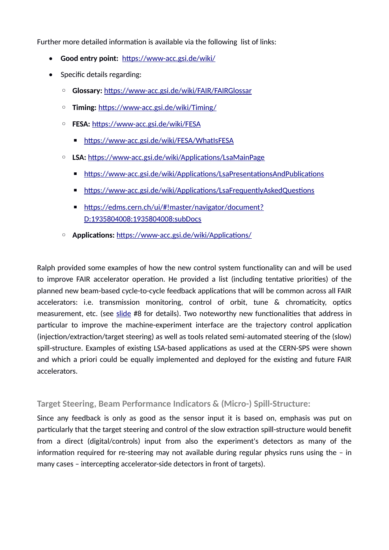Further more detailed information is available via the following list of links:

- **Good entry point:** <https://www-acc.gsi.de/wiki/>
- Specific details regarding:
	- **Glossary:** <https://www-acc.gsi.de/wiki/FAIR/FAIRGlossar>
	- **Timing:** <https://www-acc.gsi.de/wiki/Timing/>
	- **FESA:** <https://www-acc.gsi.de/wiki/FESA>
		- <https://www-acc.gsi.de/wiki/FESA/WhatIsFESA>
	- **LSA:** <https://www-acc.gsi.de/wiki/Applications/LsaMainPage>
		- <https://www-acc.gsi.de/wiki/Applications/LsaPresentationsAndPublications>
		- <https://www-acc.gsi.de/wiki/Applications/LsaFrequentlyAskedQuestions>
		- [https://edms.cern.ch/ui/#!master/navigator/document?](https://edms.cern.ch/ui/#!master/navigator/document?D:1935804008:1935804008:subDocs) [D:1935804008:1935804008:subDocs](https://edms.cern.ch/ui/#!master/navigator/document?D:1935804008:1935804008:subDocs)
	- **Applications:** <https://www-acc.gsi.de/wiki/Applications/>

Ralph provided some examples of how the new control system functionality can and will be used to improve FAIR accelerator operation. He provided a list (including tentative priorities) of the planned new beam-based cycle-to-cycle feedback applications that will be common across all FAIR accelerators: i.e. transmission monitoring, control of orbit, tune & chromaticity, optics measurement, etc. (see [slide](https://fair-wiki.gsi.de/foswiki/pub/FC2WG/FairC2WGMinutes/20160309_FAIR_C2WG_Machine_Experiment_Interface.pdf) #8 for details). Two noteworthy new functionalities that address in particular to improve the machine-experiment interface are the trajectory control application (injection/extraction/target steering) as well as tools related semi-automated steering of the (slow) spill-structure. Examples of existing LSA-based applications as used at the CERN-SPS were shown and which a priori could be equally implemented and deployed for the existing and future FAIR accelerators.

#### **Target Steering, Beam Performance Indicators & (Micro-) Spill-Structure:**

Since any feedback is only as good as the sensor input it is based on, emphasis was put on particularly that the target steering and control of the slow extraction spill-structure would benefit from a direct (digital/controls) input from also the experiment's detectors as many of the information required for re-steering may not available during regular physics runs using the – in many cases – intercepting accelerator-side detectors in front of targets).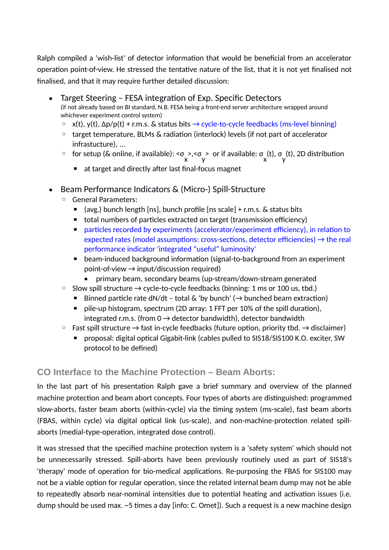Ralph compiled a 'wish-list' of detector information that would be beneficial from an accelerator operation point-of-view. He stressed the tentative nature of the list, that it is not yet finalised not finalised, and that it may require further detailed discussion:

- Target Steering FESA integration of Exp. Specific Detectors (if not already based on BI standard, N.B. FESA being a front-end server architecture wrapped around whichever experiment control system)
	- $\circ$  x(t), y(t), Δp/p(t) + r.m.s. & status bits  $\rightarrow$  cycle-to-cycle feedbacks (ms-level binning)
	- target temperature, BLMs & radiation (interlock) levels (if not part of accelerator infrastucture), ...
	- for setup (& online, if available): <σ x >,<σ y > or if available: σ x (t), σ y (t), 2D distribution
		- at target and directly after last final-focus magnet
- Beam Performance Indicators & (Micro-) Spill-Structure
	- General Parameters:
		- $\blacksquare$  (avg.) bunch length [ns], bunch profile [ns scale] + r.m.s. & status bits
		- total numbers of particles extracted on target (transmission efficiency)
		- particles recorded by experiments (accelerator/experiment efficiency), in relation to expected rates (model assumptions: cross-sections, detector efficiencies)  $\rightarrow$  the real performance indicator 'integrated "useful" luminosity'
		- beam-induced background information (signal-to-background from an experiment  $point-of-view \rightarrow input/discussion required)$ 
			- primary beam, secondary beams (up-stream/down-stream generated
	- $\circ$  Slow spill structure  $\rightarrow$  cycle-to-cycle feedbacks (binning: 1 ms or 100 us, tbd.)
		- Binned particle rate dN/dt total & 'by bunch' ( $\rightarrow$  bunched beam extraction)
		- pile-up histogram, spectrum (2D array: 1 FFT per 10% of the spill duration), integrated r.m.s. (from  $0 \rightarrow$  detector bandwidth), detector bandwidth
	- $\circ$  Fast spill structure  $\rightarrow$  fast in-cycle feedbacks (future option, priority tbd.  $\rightarrow$  disclaimer)
		- proposal: digital optical Gigabit-link (cables pulled to SIS18/SIS100 K.O. exciter, SW protocol to be defined)

### **CO Interface to the Machine Protection – Beam Aborts:**

In the last part of his presentation Ralph gave a brief summary and overview of the planned machine protection and beam abort concepts. Four types of aborts are distinguished: programmed slow-aborts, faster beam aborts (within-cycle) via the timing system (ms-scale), fast beam aborts (FBAS, within cycle) via digital optical link (us-scale), and non-machine-protection related spillaborts (medial-type-operation, integrated dose control).

It was stressed that the specified machine protection system is a 'safety system' which should not be unnecessarily stressed. Spill-aborts have been previously routinely used as part of SIS18's 'therapy' mode of operation for bio-medical applications. Re-purposing the FBAS for SIS100 may not be a viable option for regular operation, since the related internal beam dump may not be able to repeatedly absorb near-nominal intensities due to potential heating and activation issues (i.e. dump should be used max. ~5 times a day [info: C. Omet]). Such a request is a new machine design